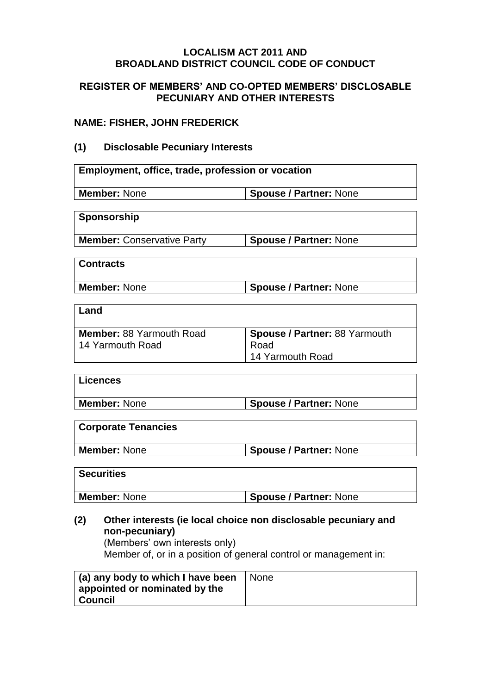#### **LOCALISM ACT 2011 AND BROADLAND DISTRICT COUNCIL CODE OF CONDUCT**

#### **REGISTER OF MEMBERS' AND CO-OPTED MEMBERS' DISCLOSABLE PECUNIARY AND OTHER INTERESTS**

### **NAME: FISHER, JOHN FREDERICK**

### **(1) Disclosable Pecuniary Interests**

| Employment, office, trade, profession or vocation |                                      |  |
|---------------------------------------------------|--------------------------------------|--|
| <b>Member: None</b>                               | <b>Spouse / Partner: None</b>        |  |
|                                                   |                                      |  |
| Sponsorship                                       |                                      |  |
| <b>Member: Conservative Party</b>                 | <b>Spouse / Partner: None</b>        |  |
|                                                   |                                      |  |
| <b>Contracts</b>                                  |                                      |  |
| <b>Member: None</b>                               | <b>Spouse / Partner: None</b>        |  |
|                                                   |                                      |  |
| Land                                              |                                      |  |
| <b>Member: 88 Yarmouth Road</b>                   | <b>Spouse / Partner: 88 Yarmouth</b> |  |
| 14 Yarmouth Road                                  | Road                                 |  |
|                                                   | 14 Yarmouth Road                     |  |
| Liconcoc                                          |                                      |  |

| LIVUILUUS    |                               |
|--------------|-------------------------------|
| Member: None | <b>Spouse / Partner: None</b> |
|              |                               |

## **Corporate Tenancies**

**Member: None Spouse / Partner: None** 

| <b>Securities</b> |                               |
|-------------------|-------------------------------|
| Member: None      | <b>Spouse / Partner: None</b> |

## **(2) Other interests (ie local choice non disclosable pecuniary and non-pecuniary)**

(Members' own interests only) Member of, or in a position of general control or management in:

| (a) any body to which I have been<br>appointed or nominated by the<br>Council | None |
|-------------------------------------------------------------------------------|------|
|                                                                               |      |